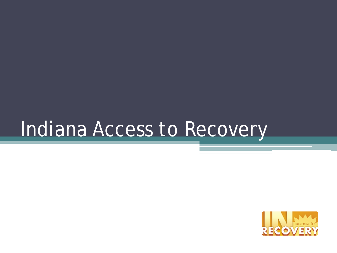## Indiana Access to Recovery

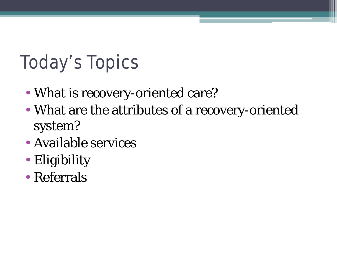### Today's Topics

- What is recovery-oriented care?
- What are the attributes of a recovery-oriented system?
- Available services
- Eligibility
- Referrals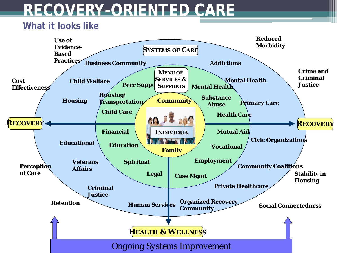### **RECOVERY-ORIENTED CARE**

#### **What it looks like**

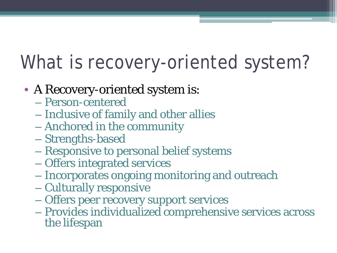### What is recovery-oriented system?

- A Recovery-oriented system is:
	- Person-centered
	- Inclusive of family and other allies
	- Anchored in the community
	- Strengths-based
	- Responsive to personal belief systems
	- Offers integrated services
	- Incorporates ongoing monitoring and outreach
	- Culturally responsive
	- Offers peer recovery support services
	- Provides individualized comprehensive services across the lifespan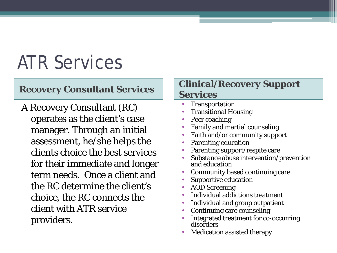### ATR Services

A Recovery Consultant (RC) operates as the client's case manager. Through an initial assessment, he/she helps the clients choice the best services for their immediate and longer term needs. Once a client and the RC determine the client's choice, the RC connects the client with ATR service providers.

### **Recovery Consultant Services | Clinical/Recovery Support Services**

- **Transportation**
- Transitional Housing
- Peer coaching
- Family and martial counseling
- Faith and/or community support
- Parenting education
- Parenting support/respite care
- Substance abuse intervention/prevention and education
- Community based continuing care
- Supportive education
- AOD Screening
- Individual addictions treatment
- Individual and group outpatient
- Continuing care counseling
- Integrated treatment for co-occurring disorders
- Medication assisted therapy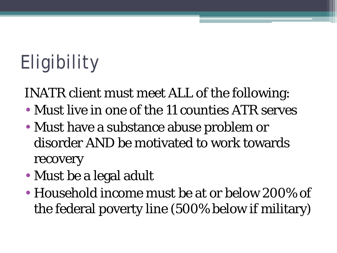# Eligibility

INATR client must meet ALL of the following:

- Must live in one of the 11 counties ATR serves
- Must have a substance abuse problem or disorder AND be motivated to work towards recovery
- Must be a legal adult
- Household income must be at or below 200% of the federal poverty line (500% below if military)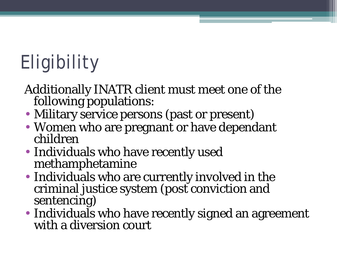# Eligibility

- Additionally INATR client must meet one of the following populations:
- Military service persons (past or present)
- Women who are pregnant or have dependant children
- Individuals who have recently used methamphetamine
- Individuals who are currently involved in the criminal justice system (post conviction and sentencing)
- Individuals who have recently signed an agreement with a diversion court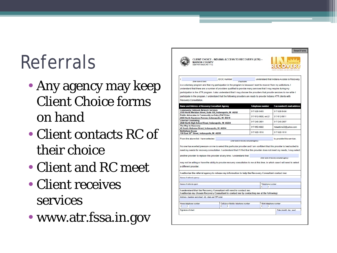### Referrals

- Any agency may keep Client Choice forms on hand
- Client contacts RC of their choice
- Client and RC meet
- Client receives services
- www.atr.fssa.in.gov